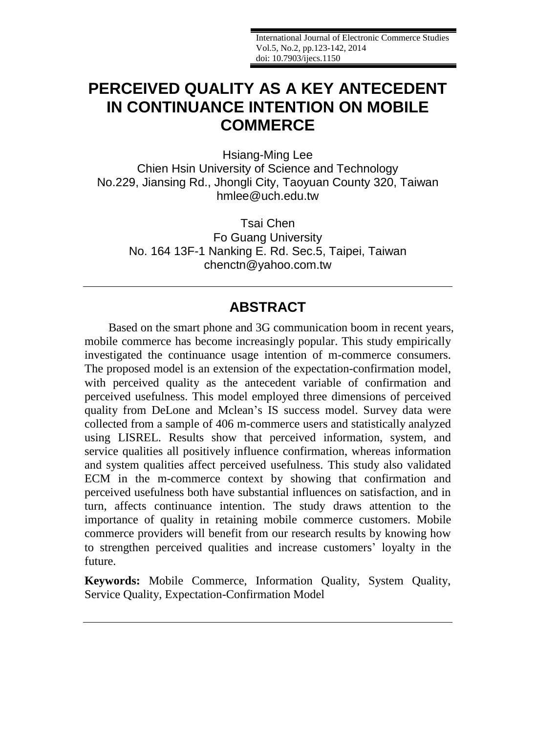## **PERCEIVED QUALITY AS A KEY ANTECEDENT IN CONTINUANCE INTENTION ON MOBILE COMMERCE**

Hsiang-Ming Lee Chien Hsin University of Science and Technology No.229, Jiansing Rd., Jhongli City, Taoyuan County 320, Taiwan [hmlee@uch.edu.tw](mailto:hmlee@uch.edu.tw)

Tsai Chen Fo Guang University No. 164 13F-1 Nanking E. Rd. Sec.5, Taipei, Taiwan [chenctn@yahoo.com.tw](mailto:chenctn@yahoo.com.tw)

## **ABSTRACT**

Based on the smart phone and 3G communication boom in recent years, mobile commerce has become increasingly popular. This study empirically investigated the continuance usage intention of m-commerce consumers. The proposed model is an extension of the expectation-confirmation model, with perceived quality as the antecedent variable of confirmation and perceived usefulness. This model employed three dimensions of perceived quality from DeLone and Mclean's IS success model. Survey data were collected from a sample of 406 m-commerce users and statistically analyzed using LISREL. Results show that perceived information, system, and service qualities all positively influence confirmation, whereas information and system qualities affect perceived usefulness. This study also validated ECM in the m-commerce context by showing that confirmation and perceived usefulness both have substantial influences on satisfaction, and in turn, affects continuance intention. The study draws attention to the importance of quality in retaining mobile commerce customers. Mobile commerce providers will benefit from our research results by knowing how to strengthen perceived qualities and increase customers' loyalty in the future.

**Keywords:** Mobile Commerce, Information Quality, System Quality, Service Quality, Expectation-Confirmation Model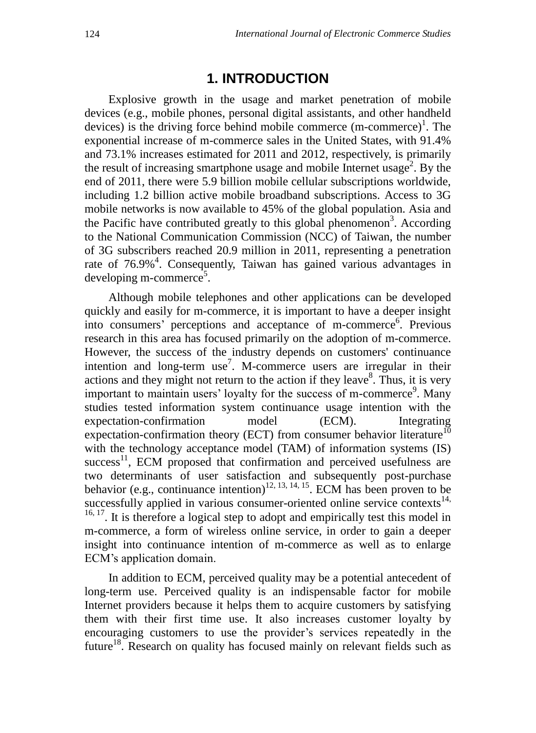#### **1. INTRODUCTION**

Explosive growth in the usage and market penetration of mobile devices (e.g., mobile phones, personal digital assistants, and other handheld devices) is the driving force behind mobile commerce  $(m\text{-commence})^1$ . The exponential increase of m-commerce sales in the United States, with 91.4% and 73.1% increases estimated for 2011 and 2012, respectively, is primarily the result of increasing smartphone usage and mobile Internet usage<sup>2</sup>. By the end of 2011, there were 5.9 billion mobile cellular subscriptions worldwide, including 1.2 billion active mobile broadband subscriptions. Access to 3G mobile networks is now available to 45% of the global population. Asia and the Pacific have contributed greatly to this global phenomenon<sup>3</sup>. According to the National Communication Commission (NCC) of Taiwan, the number of 3G subscribers reached 20.9 million in 2011, representing a penetration rate of 76.9%<sup>4</sup>. Consequently, Taiwan has gained various advantages in developing m-commerce<sup>5</sup>.

Although mobile telephones and other applications can be developed quickly and easily for m-commerce, it is important to have a deeper insight into consumers' perceptions and acceptance of m-commerce<sup>6</sup>. Previous research in this area has focused primarily on the adoption of m-commerce. However, the success of the industry depends on customers' continuance intention and long-term use<sup>7</sup>. M-commerce users are irregular in their actions and they might not return to the action if they leave $8$ . Thus, it is very important to maintain users' loyalty for the success of m-commerce<sup>9</sup>. Many studies tested information system continuance usage intention with the expectation-confirmation model (ECM). Integrating expectation-confirmation theory (ECT) from consumer behavior literature<sup>10</sup> with the technology acceptance model (TAM) of information systems (IS) success<sup>11</sup>, ECM proposed that confirmation and perceived usefulness are two determinants of user satisfaction and subsequently post-purchase behavior (e.g., continuance intention)<sup>12, 13, 14, 15</sup>. ECM has been proven to be successfully applied in various consumer-oriented online service contexts $^{14}$ , <sup>16, 17</sup>. It is therefore a logical step to adopt and empirically test this model in m-commerce, a form of wireless online service, in order to gain a deeper insight into continuance intention of m-commerce as well as to enlarge ECM's application domain.

In addition to ECM, perceived quality may be a potential antecedent of long-term use. Perceived quality is an indispensable factor for mobile Internet providers because it helps them to acquire customers by satisfying them with their first time use. It also increases customer loyalty by encouraging customers to use the provider's services repeatedly in the future<sup>18</sup>. Research on quality has focused mainly on relevant fields such as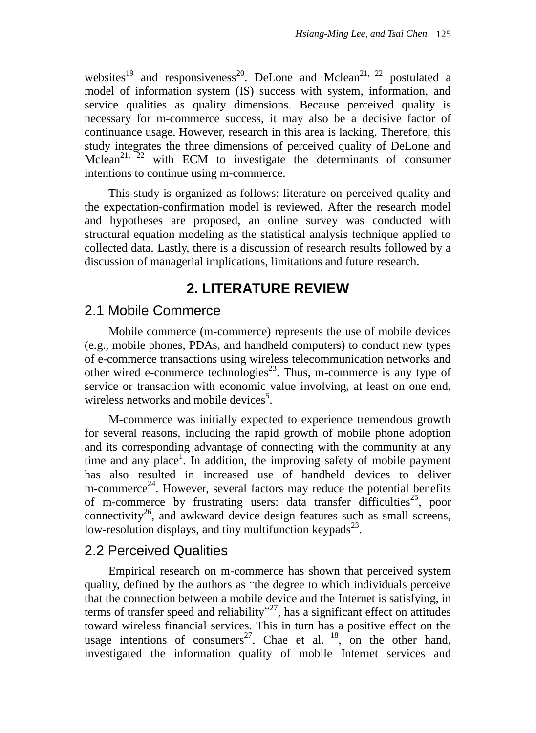websites<sup>19</sup> and responsiveness<sup>20</sup>. DeLone and Mclean<sup>21, 22</sup> postulated a model of information system (IS) success with system, information, and service qualities as quality dimensions. Because perceived quality is necessary for m-commerce success, it may also be a decisive factor of continuance usage. However, research in this area is lacking. Therefore, this study integrates the three dimensions of perceived quality of DeLone and Mclean<sup>21, 22</sup> with ECM to investigate the determinants of consumer intentions to continue using m-commerce.

This study is organized as follows: literature on perceived quality and the expectation-confirmation model is reviewed. After the research model and hypotheses are proposed, an online survey was conducted with structural equation modeling as the statistical analysis technique applied to collected data. Lastly, there is a discussion of research results followed by a discussion of managerial implications, limitations and future research.

## **2. LITERATURE REVIEW**

#### 2.1 Mobile Commerce

Mobile commerce (m-commerce) represents the use of mobile devices (e.g., mobile phones, PDAs, and handheld computers) to conduct new types of e-commerce transactions using wireless telecommunication networks and other wired e-commerce technologies<sup>23</sup>. Thus, m-commerce is any type of service or transaction with economic value involving, at least on one end, wireless networks and mobile devices<sup>5</sup>.

M-commerce was initially expected to experience tremendous growth for several reasons, including the rapid growth of mobile phone adoption and its corresponding advantage of connecting with the community at any time and any place<sup>1</sup>. In addition, the improving safety of mobile payment has also resulted in increased use of handheld devices to deliver m-commerce<sup>24</sup>. However, several factors may reduce the potential benefits of m-commerce by frustrating users: data transfer difficulties<sup>25</sup>, poor connectivity<sup>26</sup>, and awkward device design features such as small screens, low-resolution displays, and tiny multifunction keypads $^{23}$ .

#### 2.2 Perceived Qualities

Empirical research on m-commerce has shown that perceived system quality, defined by the authors as "the degree to which individuals perceive that the connection between a mobile device and the Internet is satisfying, in terms of transfer speed and reliability"<sup>27</sup>, has a significant effect on attitudes toward wireless financial services. This in turn has a positive effect on the usage intentions of consumers<sup>27</sup>. Chae et al.  $^{18}$ , on the other hand, investigated the information quality of mobile Internet services and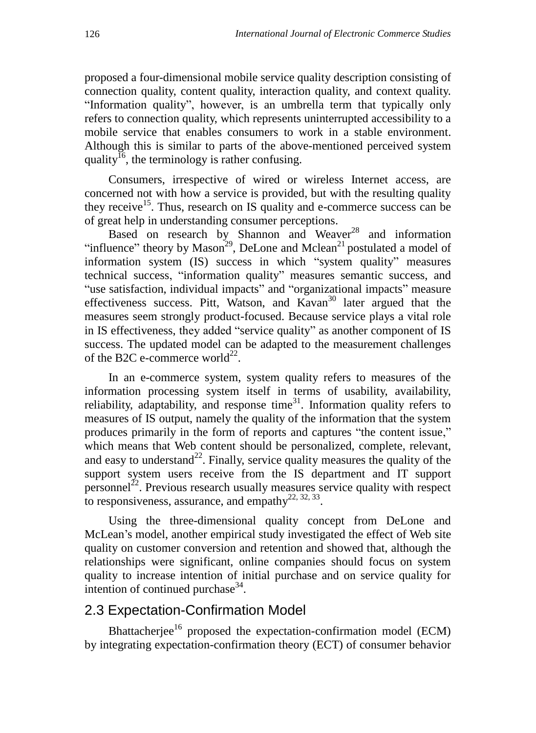proposed a four-dimensional mobile service quality description consisting of connection quality, content quality, interaction quality, and context quality. "Information quality", however, is an umbrella term that typically only refers to connection quality, which represents uninterrupted accessibility to a mobile service that enables consumers to work in a stable environment. Although this is similar to parts of the above-mentioned perceived system quality<sup>16</sup>, the terminology is rather confusing.

Consumers, irrespective of wired or wireless Internet access, are concerned not with how a service is provided, but with the resulting quality they receive<sup>15</sup>. Thus, research on IS quality and e-commerce success can be of great help in understanding consumer perceptions.

Based on research by Shannon and Weaver<sup>28</sup> and information "influence" theory by Mason<sup>29</sup>, DeLone and Mclean<sup>21</sup> postulated a model of information system (IS) success in which "system quality" measures technical success, "information quality" measures semantic success, and "use satisfaction, individual impacts" and "organizational impacts" measure effectiveness success. Pitt, Watson, and Kavan<sup>30</sup> later argued that the measures seem strongly product-focused. Because service plays a vital role in IS effectiveness, they added "service quality" as another component of IS success. The updated model can be adapted to the measurement challenges of the B2C e-commerce world<sup>22</sup>.

In an e-commerce system, system quality refers to measures of the information processing system itself in terms of usability, availability, reliability, adaptability, and response time $31$ . Information quality refers to measures of IS output, namely the quality of the information that the system produces primarily in the form of reports and captures "the content issue," which means that Web content should be personalized, complete, relevant, and easy to understand<sup>22</sup>. Finally, service quality measures the quality of the support system users receive from the IS department and IT support personnel<sup>22</sup>. Previous research usually measures service quality with respect to responsiveness, assurance, and empathy $^{22, 32, 33}$ .

Using the three-dimensional quality concept from DeLone and McLean's model, another empirical study investigated the effect of Web site quality on customer conversion and retention and showed that, although the relationships were significant, online companies should focus on system quality to increase intention of initial purchase and on service quality for intention of continued purchase $34$ .

## 2.3 Expectation-Confirmation Model

Bhattacherjee<sup>16</sup> proposed the expectation-confirmation model (ECM) by integrating expectation-confirmation theory (ECT) of consumer behavior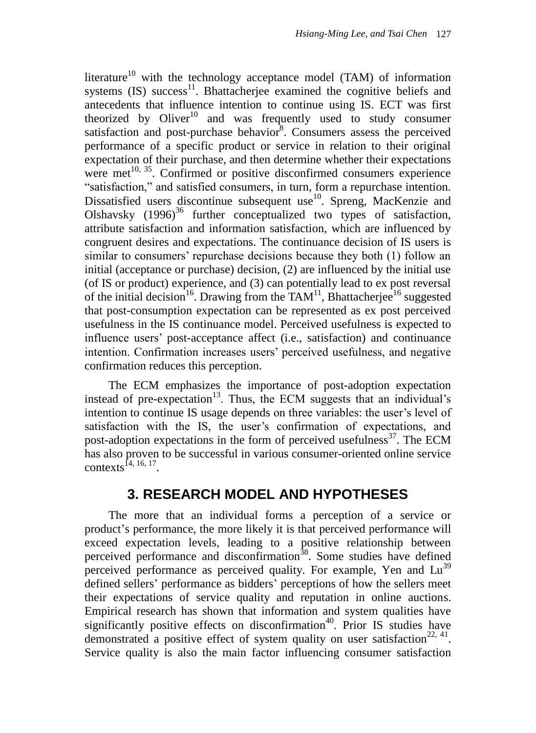literature<sup>10</sup> with the technology acceptance model (TAM) of information systems  $(IS)$  success<sup>11</sup>. Bhattacheriee examined the cognitive beliefs and antecedents that influence intention to continue using IS. ECT was first theorized by  $Oliver<sup>10</sup>$  and was frequently used to study consumer satisfaction and post-purchase behavior<sup>8</sup>. Consumers assess the perceived performance of a specific product or service in relation to their original expectation of their purchase, and then determine whether their expectations were met $^{10, 35}$ . Confirmed or positive disconfirmed consumers experience "satisfaction," and satisfied consumers, in turn, form a repurchase intention. Dissatisfied users discontinue subsequent use<sup>10</sup>. Spreng, MacKenzie and Olshavsky  $(1996)^{36}$  further conceptualized two types of satisfaction, attribute satisfaction and information satisfaction, which are influenced by congruent desires and expectations. The continuance decision of IS users is similar to consumers' repurchase decisions because they both (1) follow an initial (acceptance or purchase) decision, (2) are influenced by the initial use (of IS or product) experience, and (3) can potentially lead to ex post reversal of the initial decision<sup>16</sup>. Drawing from the TAM<sup>11</sup>, Bhattacherjee<sup>16</sup> suggested that post-consumption expectation can be represented as ex post perceived usefulness in the IS continuance model. Perceived usefulness is expected to influence users' post-acceptance affect (i.e., satisfaction) and continuance intention. Confirmation increases users' perceived usefulness, and negative confirmation reduces this perception.

The ECM emphasizes the importance of post-adoption expectation instead of pre-expectation<sup>13</sup>. Thus, the ECM suggests that an individual's intention to continue IS usage depends on three variables: the user's level of satisfaction with the IS, the user's confirmation of expectations, and post-adoption expectations in the form of perceived usefulness<sup>37</sup>. The ECM has also proven to be successful in various consumer-oriented online service contexts  $^{[4, 16, 17]}$ .

## **3. RESEARCH MODEL AND HYPOTHESES**

The more that an individual forms a perception of a service or product's performance, the more likely it is that perceived performance will exceed expectation levels, leading to a positive relationship between perceived performance and disconfirmation<sup>38</sup>. Some studies have defined perceived performance as perceived quality. For example, Yen and Lu<sup>39</sup> defined sellers' performance as bidders' perceptions of how the sellers meet their expectations of service quality and reputation in online auctions. Empirical research has shown that information and system qualities have significantly positive effects on disconfirmation<sup>40</sup>. Prior IS studies have demonstrated a positive effect of system quality on user satisfaction<sup>22, 41</sup>. Service quality is also the main factor influencing consumer satisfaction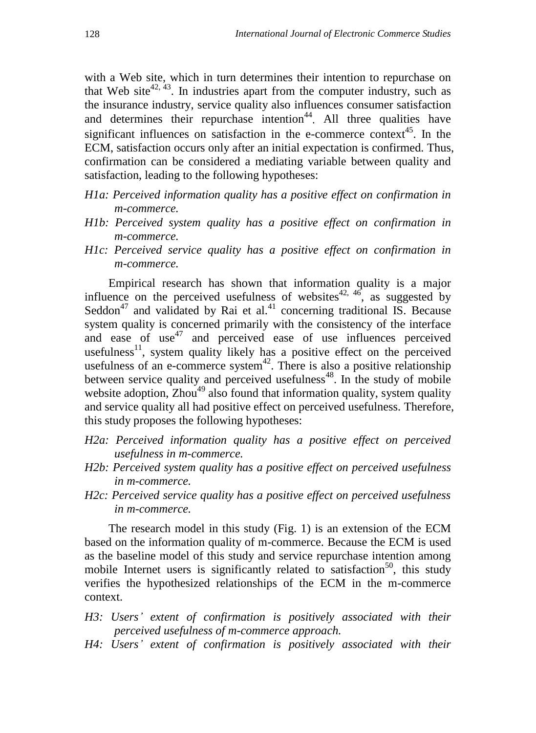with a Web site, which in turn determines their intention to repurchase on that Web site<sup>42, 43</sup>. In industries apart from the computer industry, such as the insurance industry, service quality also influences consumer satisfaction and determines their repurchase intention<sup>44</sup>. All three qualities have significant influences on satisfaction in the e-commerce context<sup>45</sup>. In the ECM, satisfaction occurs only after an initial expectation is confirmed. Thus, confirmation can be considered a mediating variable between quality and satisfaction, leading to the following hypotheses:

- *H1a: Perceived information quality has a positive effect on confirmation in m-commerce.*
- *H1b: Perceived system quality has a positive effect on confirmation in m-commerce.*
- *H1c: Perceived service quality has a positive effect on confirmation in m-commerce.*

Empirical research has shown that information quality is a major influence on the perceived usefulness of websites<sup>42, 46</sup>, as suggested by Seddon<sup>47</sup> and validated by Rai et al.<sup>41</sup> concerning traditional IS. Because system quality is concerned primarily with the consistency of the interface and ease of use $47$  and perceived ease of use influences perceived usefulness<sup>11</sup>, system quality likely has a positive effect on the perceived usefulness of an e-commerce system<sup>42</sup>. There is also a positive relationship between service quality and perceived usefulness<sup>48</sup>. In the study of mobile website adoption,  $Zhou^{49}$  also found that information quality, system quality and service quality all had positive effect on perceived usefulness. Therefore, this study proposes the following hypotheses:

- *H2a: Perceived information quality has a positive effect on perceived usefulness in m-commerce.*
- *H2b: Perceived system quality has a positive effect on perceived usefulness in m-commerce.*
- *H2c: Perceived service quality has a positive effect on perceived usefulness in m-commerce.*

The research model in this study (Fig. 1) is an extension of the ECM based on the information quality of m-commerce. Because the ECM is used as the baseline model of this study and service repurchase intention among mobile Internet users is significantly related to satisfaction<sup>50</sup>, this study verifies the hypothesized relationships of the ECM in the m-commerce context.

- *H3: Users' extent of confirmation is positively associated with their perceived usefulness of m-commerce approach.*
- *H4: Users' extent of confirmation is positively associated with their*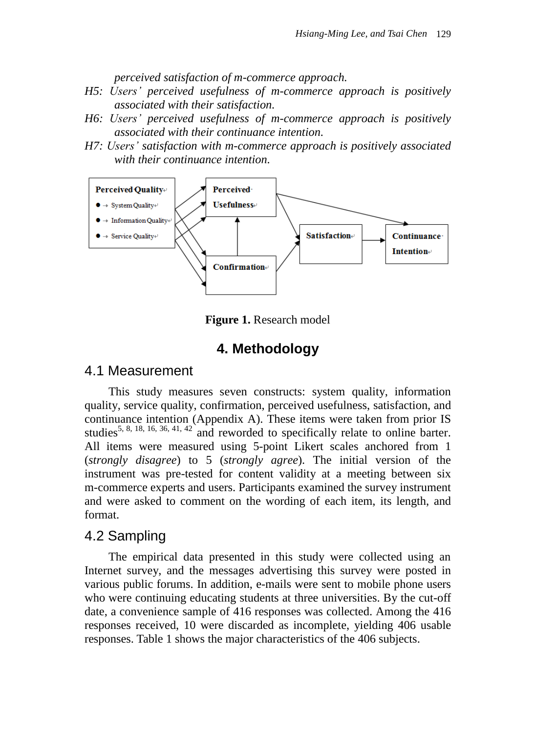*perceived satisfaction of m-commerce approach.*

- *H5: Users' perceived usefulness of m-commerce approach is positively associated with their satisfaction.*
- *H6: Users' perceived usefulness of m-commerce approach is positively associated with their continuance intention.*
- *H7: Users' satisfaction with m-commerce approach is positively associated with their continuance intention.*



**Figure 1.** Research model

## **4. Methodology**

#### 4.1 Measurement

This study measures seven constructs: system quality, information quality, service quality, confirmation, perceived usefulness, satisfaction, and continuance intention (Appendix A). These items were taken from prior IS studies<sup>5, 8, 18, 16, 36, 41, 42</sup> and reworded to specifically relate to online barter. All items were measured using 5-point Likert scales anchored from 1 (*strongly disagree*) to 5 (*strongly agree*). The initial version of the instrument was pre-tested for content validity at a meeting between six m-commerce experts and users. Participants examined the survey instrument and were asked to comment on the wording of each item, its length, and format.

## 4.2 Sampling

The empirical data presented in this study were collected using an Internet survey, and the messages advertising this survey were posted in various public forums. In addition, e-mails were sent to mobile phone users who were continuing educating students at three universities. By the cut-off date, a convenience sample of 416 responses was collected. Among the 416 responses received, 10 were discarded as incomplete, yielding 406 usable responses. Table 1 shows the major characteristics of the 406 subjects.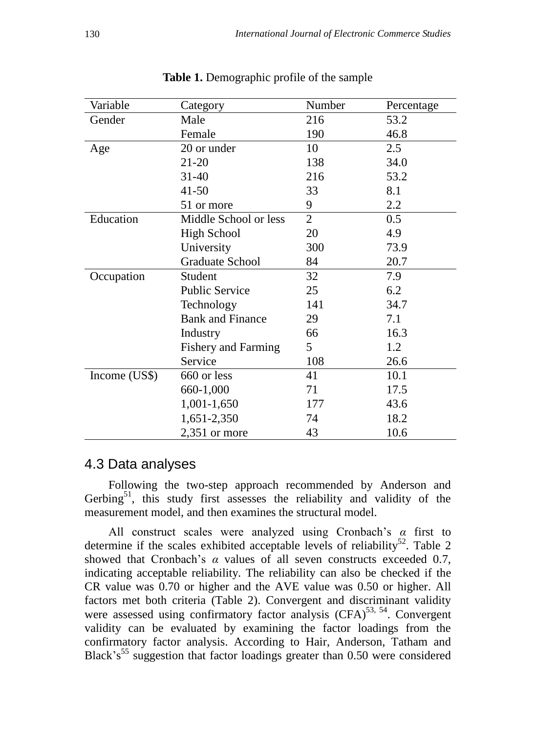| Variable      | Category                   | Number         | Percentage |
|---------------|----------------------------|----------------|------------|
| Gender        | Male                       | 216            | 53.2       |
|               | Female                     | 190            | 46.8       |
| Age           | 20 or under                | 10             | 2.5        |
|               | $21 - 20$                  | 138            | 34.0       |
|               | $31 - 40$                  | 216            | 53.2       |
|               | $41 - 50$                  | 33             | 8.1        |
|               | 51 or more                 | 9              | 2.2        |
| Education     | Middle School or less      | $\overline{2}$ | 0.5        |
|               | <b>High School</b>         | 20             | 4.9        |
|               | University                 | 300            | 73.9       |
|               | Graduate School            | 84             | 20.7       |
| Occupation    | Student                    | 32             | 7.9        |
|               | <b>Public Service</b>      | 25             | 6.2        |
|               | Technology                 | 141            | 34.7       |
|               | <b>Bank and Finance</b>    | 29             | 7.1        |
|               | Industry                   | 66             | 16.3       |
|               | <b>Fishery and Farming</b> | 5              | 1.2        |
|               | Service                    | 108            | 26.6       |
| Income (US\$) | 660 or less                | 41             | 10.1       |
|               | 660-1,000                  | 71             | 17.5       |
|               | 1,001-1,650                | 177            | 43.6       |
|               | 1,651-2,350                | 74             | 18.2       |
|               | $2,351$ or more            | 43             | 10.6       |

**Table 1.** Demographic profile of the sample

#### 4.3 Data analyses

Following the two-step approach recommended by Anderson and Gerbing<sup>51</sup>, this study first assesses the reliability and validity of the measurement model, and then examines the structural model.

All construct scales were analyzed using Cronbach's *α* first to determine if the scales exhibited acceptable levels of reliability<sup>52</sup>. Table 2 showed that Cronbach's *α* values of all seven constructs exceeded 0.7, indicating acceptable reliability. The reliability can also be checked if the CR value was 0.70 or higher and the AVE value was 0.50 or higher. All factors met both criteria (Table 2). Convergent and discriminant validity were assessed using confirmatory factor analysis (CFA)<sup>53, 54</sup>. Convergent validity can be evaluated by examining the factor loadings from the confirmatory factor analysis. According to Hair, Anderson, Tatham and Black's <sup>55</sup> suggestion that factor loadings greater than 0.50 were considered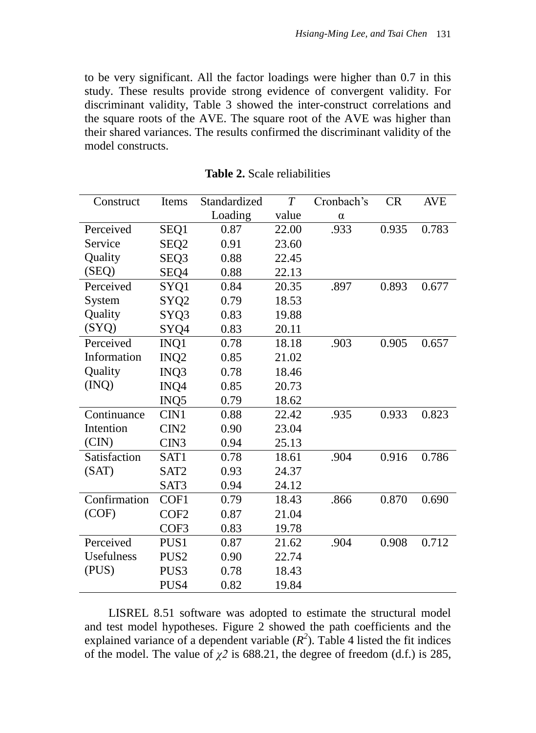to be very significant. All the factor loadings were higher than 0.7 in this study. These results provide strong evidence of convergent validity. For discriminant validity, Table 3 showed the inter-construct correlations and the square roots of the AVE. The square root of the AVE was higher than their shared variances. The results confirmed the discriminant validity of the model constructs.

| Construct         | Items            | Standardized | $\overline{T}$ | Cronbach's | <b>CR</b> | <b>AVE</b> |
|-------------------|------------------|--------------|----------------|------------|-----------|------------|
|                   |                  | Loading      | value          | $\alpha$   |           |            |
| Perceived         | SEQ1             | 0.87         | 22.00          | .933       | 0.935     | 0.783      |
| Service           | SEQ <sub>2</sub> | 0.91         | 23.60          |            |           |            |
| Quality           | SEQ3             | 0.88         | 22.45          |            |           |            |
| (SEQ)             | SEQ4             | 0.88         | 22.13          |            |           |            |
| Perceived         | SYQ1             | 0.84         | 20.35          | .897       | 0.893     | 0.677      |
| System            | SYQ <sub>2</sub> | 0.79         | 18.53          |            |           |            |
| Quality           | SYQ3             | 0.83         | 19.88          |            |           |            |
| (SYQ)             | SYQ4             | 0.83         | 20.11          |            |           |            |
| Perceived         | INQ1             | 0.78         | 18.18          | .903       | 0.905     | 0.657      |
| Information       | INQ <sub>2</sub> | 0.85         | 21.02          |            |           |            |
| Quality           | INQ3             | 0.78         | 18.46          |            |           |            |
| (INQ)             | INQ4             | 0.85         | 20.73          |            |           |            |
|                   | INQ5             | 0.79         | 18.62          |            |           |            |
| Continuance       | CIN1             | 0.88         | 22.42          | .935       | 0.933     | 0.823      |
| Intention         | CIN <sub>2</sub> | 0.90         | 23.04          |            |           |            |
| (CIN)             | CIN <sub>3</sub> | 0.94         | 25.13          |            |           |            |
| Satisfaction      | SAT1             | 0.78         | 18.61          | .904       | 0.916     | 0.786      |
| (SAT)             | SAT <sub>2</sub> | 0.93         | 24.37          |            |           |            |
|                   | SAT3             | 0.94         | 24.12          |            |           |            |
| Confirmation      | COF1             | 0.79         | 18.43          | .866       | 0.870     | 0.690      |
| (COF)             | COF <sub>2</sub> | 0.87         | 21.04          |            |           |            |
|                   | COF3             | 0.83         | 19.78          |            |           |            |
| Perceived         | PUS1             | 0.87         | 21.62          | .904       | 0.908     | 0.712      |
| <b>Usefulness</b> | PUS <sub>2</sub> | 0.90         | 22.74          |            |           |            |
| (PUS)             | PUS <sub>3</sub> | 0.78         | 18.43          |            |           |            |
|                   | PUS4             | 0.82         | 19.84          |            |           |            |

**Table 2.** Scale reliabilities

LISREL 8.51 software was adopted to estimate the structural model and test model hypotheses. Figure 2 showed the path coefficients and the explained variance of a dependent variable  $(R^2)$ . Table 4 listed the fit indices of the model. The value of  $\chi^2$  is 688.21, the degree of freedom (d.f.) is 285,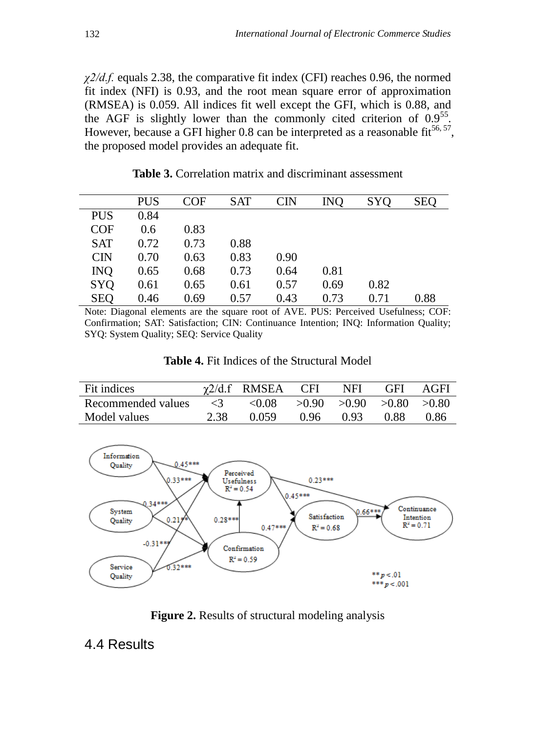*χ2/d.f.* equals 2.38, the comparative fit index (CFI) reaches 0.96, the normed fit index (NFI) is 0.93, and the root mean square error of approximation (RMSEA) is 0.059. All indices fit well except the GFI, which is 0.88, and the AGF is slightly lower than the commonly cited criterion of  $0.9^{55}$ . However, because a GFI higher 0.8 can be interpreted as a reasonable  $fit^{56, 57}$ , the proposed model provides an adequate fit.

|            | <b>PUS</b> | COF  | <b>SAT</b> | <b>CIN</b> | <b>INO</b> | <b>SYQ</b> | <b>SEQ</b> |
|------------|------------|------|------------|------------|------------|------------|------------|
|            |            |      |            |            |            |            |            |
| <b>PUS</b> | 0.84       |      |            |            |            |            |            |
| <b>COF</b> | 0.6        | 0.83 |            |            |            |            |            |
| <b>SAT</b> | 0.72       | 0.73 | 0.88       |            |            |            |            |
| <b>CIN</b> | 0.70       | 0.63 | 0.83       | 0.90       |            |            |            |
| <b>INQ</b> | 0.65       | 0.68 | 0.73       | 0.64       | 0.81       |            |            |
| <b>SYQ</b> | 0.61       | 0.65 | 0.61       | 0.57       | 0.69       | 0.82       |            |
| <b>SEQ</b> | 0.46       | 0.69 | 0.57       | 0.43       | 0.73       | 0.71       | 0.88       |

**Table 3.** Correlation matrix and discriminant assessment

Note: Diagonal elements are the square root of AVE. PUS: Perceived Usefulness; COF: Confirmation; SAT: Satisfaction; CIN: Continuance Intention; INQ: Information Quality; SYQ: System Quality; SEQ: Service Quality

**Table 4.** Fit Indices of the Structural Model

| Fit indices        |      | $\chi$ 2/d.f RMSEA CFI                                                                                                           | NFI            | <b>GFI</b> | AGFI |
|--------------------|------|----------------------------------------------------------------------------------------------------------------------------------|----------------|------------|------|
| Recommended values |      | $\langle 3 \rangle$ $\langle 0.08 \rangle$ $> 0.90 \rangle$ $\langle 0.90 \rangle$ $\langle 0.80 \rangle$ $\langle 0.80 \rangle$ |                |            |      |
| Model values       | 2.38 | 0.059                                                                                                                            | 0.96 0.93 0.88 |            | 0.86 |



**Figure 2.** Results of structural modeling analysis

#### 4.4 Results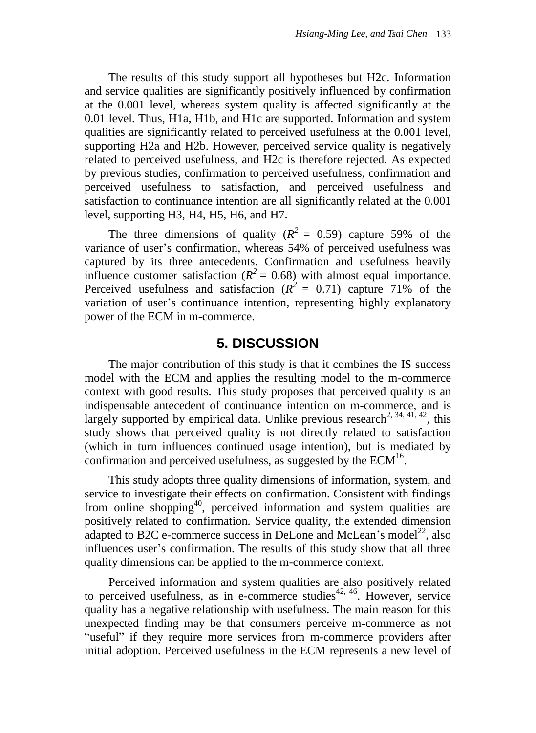The results of this study support all hypotheses but H2c. Information and service qualities are significantly positively influenced by confirmation at the 0.001 level, whereas system quality is affected significantly at the 0.01 level. Thus, H1a, H1b, and H1c are supported. Information and system qualities are significantly related to perceived usefulness at the 0.001 level, supporting H2a and H2b. However, perceived service quality is negatively related to perceived usefulness, and H2c is therefore rejected. As expected by previous studies, confirmation to perceived usefulness, confirmation and perceived usefulness to satisfaction, and perceived usefulness and satisfaction to continuance intention are all significantly related at the 0.001 level, supporting H3, H4, H5, H6, and H7.

The three dimensions of quality  $(R^2 = 0.59)$  capture 59% of the variance of user's confirmation, whereas 54% of perceived usefulness was captured by its three antecedents. Confirmation and usefulness heavily influence customer satisfaction  $(R^2 = 0.68)$  with almost equal importance. Perceived usefulness and satisfaction  $(R^2 = 0.71)$  capture 71% of the variation of user's continuance intention, representing highly explanatory power of the ECM in m-commerce.

#### **5. DISCUSSION**

The major contribution of this study is that it combines the IS success model with the ECM and applies the resulting model to the m-commerce context with good results. This study proposes that perceived quality is an indispensable antecedent of continuance intention on m-commerce, and is largely supported by empirical data. Unlike previous research<sup>2, 34, 41, 42</sup>, this study shows that perceived quality is not directly related to satisfaction (which in turn influences continued usage intention), but is mediated by confirmation and perceived usefulness, as suggested by the  $ECM<sup>16</sup>$ .

This study adopts three quality dimensions of information, system, and service to investigate their effects on confirmation. Consistent with findings from online shopping<sup>40</sup>, perceived information and system qualities are positively related to confirmation. Service quality, the extended dimension adapted to B2C e-commerce success in DeLone and McLean's model<sup>22</sup>, also influences user's confirmation. The results of this study show that all three quality dimensions can be applied to the m-commerce context.

Perceived information and system qualities are also positively related to perceived usefulness, as in e-commerce studies $42, 46$ . However, service quality has a negative relationship with usefulness. The main reason for this unexpected finding may be that consumers perceive m-commerce as not "useful" if they require more services from m-commerce providers after initial adoption. Perceived usefulness in the ECM represents a new level of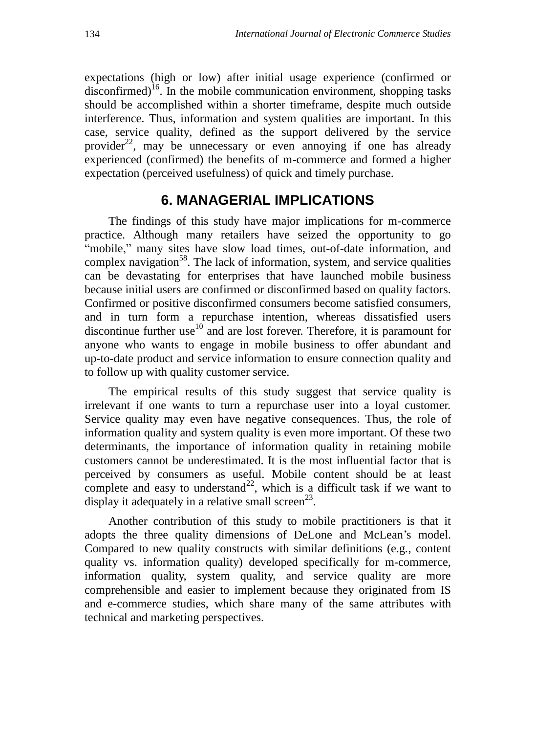expectations (high or low) after initial usage experience (confirmed or disconfirmed)<sup>16</sup>. In the mobile communication environment, shopping tasks should be accomplished within a shorter timeframe, despite much outside interference. Thus, information and system qualities are important. In this case, service quality, defined as the support delivered by the service provider<sup>22</sup>, may be unnecessary or even annoying if one has already experienced (confirmed) the benefits of m-commerce and formed a higher expectation (perceived usefulness) of quick and timely purchase.

#### **6. MANAGERIAL IMPLICATIONS**

The findings of this study have major implications for m-commerce practice. Although many retailers have seized the opportunity to go "mobile," many sites have slow load times, out-of-date information, and complex navigation<sup>58</sup>. The lack of information, system, and service qualities can be devastating for enterprises that have launched mobile business because initial users are confirmed or disconfirmed based on quality factors. Confirmed or positive disconfirmed consumers become satisfied consumers, and in turn form a repurchase intention, whereas dissatisfied users discontinue further use<sup>10</sup> and are lost forever. Therefore, it is paramount for anyone who wants to engage in mobile business to offer abundant and up-to-date product and service information to ensure connection quality and to follow up with quality customer service.

The empirical results of this study suggest that service quality is irrelevant if one wants to turn a repurchase user into a loyal customer. Service quality may even have negative consequences. Thus, the role of information quality and system quality is even more important. Of these two determinants, the importance of information quality in retaining mobile customers cannot be underestimated. It is the most influential factor that is perceived by consumers as useful. Mobile content should be at least complete and easy to understand<sup>22</sup>, which is a difficult task if we want to display it adequately in a relative small screen<sup>23</sup>.

Another contribution of this study to mobile practitioners is that it adopts the three quality dimensions of DeLone and McLean's model. Compared to new quality constructs with similar definitions (e.g., content quality vs. information quality) developed specifically for m-commerce, information quality, system quality, and service quality are more comprehensible and easier to implement because they originated from IS and e-commerce studies, which share many of the same attributes with technical and marketing perspectives.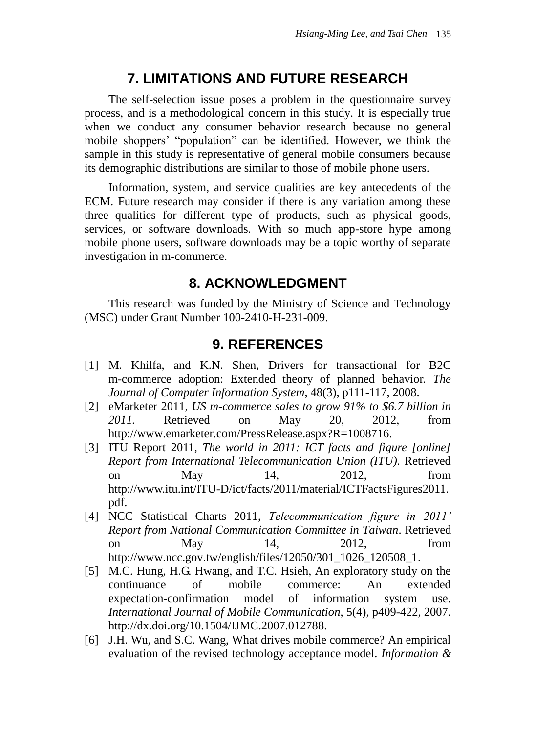## **7. LIMITATIONS AND FUTURE RESEARCH**

The self-selection issue poses a problem in the questionnaire survey process, and is a methodological concern in this study. It is especially true when we conduct any consumer behavior research because no general mobile shoppers' "population" can be identified. However, we think the sample in this study is representative of general mobile consumers because its demographic distributions are similar to those of mobile phone users.

Information, system, and service qualities are key antecedents of the ECM. Future research may consider if there is any variation among these three qualities for different type of products, such as physical goods, services, or software downloads. With so much app-store hype among mobile phone users, software downloads may be a topic worthy of separate investigation in m-commerce.

#### **8. ACKNOWLEDGMENT**

This research was funded by the Ministry of Science and Technology (MSC) under Grant Number 100-2410-H-231-009.

## **9. REFERENCES**

- [1] M. Khilfa, and K.N. Shen, Drivers for transactional for B2C m-commerce adoption: Extended theory of planned behavior. *The Journal of Computer Information System*, 48(3), p111-117, 2008.
- [2] eMarketer 2011, *US m-commerce sales to grow 91% to \$6.7 billion in 2011.* Retrieved on May 20, 2012, from [http://www.emarketer.com/PressRelease.aspx?R=1008716.](http://www.emarketer.com/PressRelease.aspx?R=1008716)
- [3] ITU Report 2011, *The world in 2011: ICT facts and figure [online] Report from International Telecommunication Union (ITU).* Retrieved on May 14, 2012, from [http://www.itu.int/ITU-D/ict/facts/2011/material/ICTFactsFigures2011.](http://www.itu.int/ITU-D/ict/facts/2011/material/ICTFactsFigures2011.pdf) [pdf.](http://www.itu.int/ITU-D/ict/facts/2011/material/ICTFactsFigures2011.pdf)
- [4] NCC Statistical Charts 2011, *Telecommunication figure in 2011' Report from National Communication Committee in Taiwan*. Retrieved on May 14, 2012, from [http://www.ncc.gov.tw/english/files/12050/301\\_1026\\_120508\\_1.](http://www.ncc.gov.tw/english/files/12050/301_1026_120508_1)
- [5] M.C. Hung, H.G. Hwang, and T.C. Hsieh, An exploratory study on the continuance of mobile commerce: An extended expectation-confirmation model of information system use. *International Journal of Mobile Communication*, 5(4), p409-422, 2007. [http://dx.doi.org/10.1504/IJMC.2007.012788.](http://dx.doi.org/10.1504/IJMC.2007.012788)
- [6] J.H. Wu, and S.C. Wang, What drives mobile commerce? An empirical evaluation of the revised technology acceptance model. *Information &*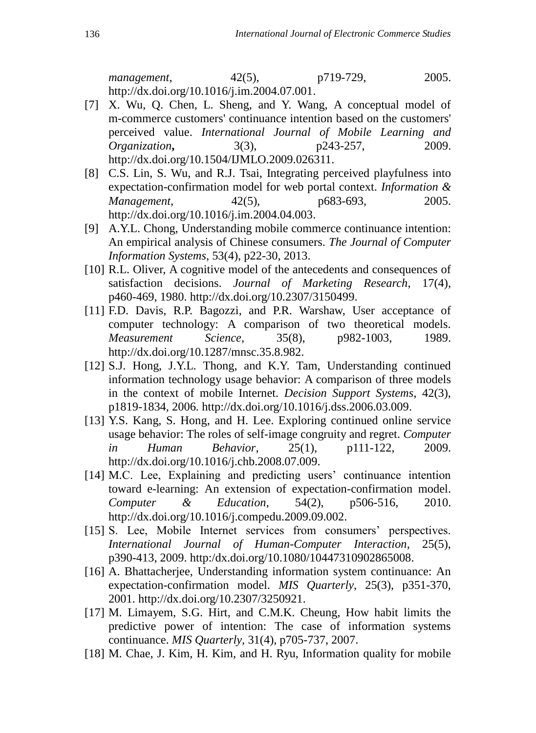*management*, 42(5), p719-729, 2005. [http://dx.doi.org/10.1016/j.im.2004.07.001.](http://dx.doi.org/10.1016/j.im.2004.07.001)

- [7] X. Wu, Q. Chen, L. Sheng, and Y. Wang, A conceptual model of m-commerce customers' continuance intention based on the customers' perceived value. *International Journal of Mobile Learning and Organization*, 3(3), p243-257, 2009. [http://dx.doi.org/10.1504/IJMLO.2009.026311.](http://dx.doi.org/10.1504/IJMLO.2009.026311)
- [8] C.S. Lin, S. Wu, and R.J. Tsai, Integrating perceived playfulness into expectation-confirmation model for web portal context. *Information & Management*, 42(5), p683-693, 2005. [http://dx.doi.org/10.1016/j.im.2004.04.003.](http://dx.doi.org/10.1016/j.im.2004.04.003)
- [9] A.Y.L. Chong, Understanding mobile commerce continuance intention: An empirical analysis of Chinese consumers. *The Journal [of Computer](http://rpa.lib.uch.edu.tw:3431/pubidlinkhandler/sng/pubtitle/The+Journal+of+Computer+Information+Systems/$N/48936/DocView/1429691411/fulltext/$B/1?accountid=10089)  [Information Systems](http://rpa.lib.uch.edu.tw:3431/pubidlinkhandler/sng/pubtitle/The+Journal+of+Computer+Information+Systems/$N/48936/DocView/1429691411/fulltext/$B/1?accountid=10089)*, 53(4), p22-30, 2013.
- [10] R.L. Oliver, A cognitive model of the antecedents and consequences of satisfaction decisions. *Journal of Marketing Research*, 17(4), p460-469, 1980. [http://dx.doi.org/10.2307/3150499.](http://dx.doi.org/10.2307/3150499)
- [11] F.D. Davis, R.P. Bagozzi, and P.R. Warshaw, User acceptance of computer technology: A comparison of two theoretical models. *Measurement Science*, 35(8), p982-1003, 1989. [http://dx.doi.org/10.1287/mnsc.35.8.982.](http://dx.doi.org/10.1287/mnsc.35.8.982)
- [12] S.J. Hong, J.Y.L. Thong, and K.Y. Tam, Understanding continued information technology usage behavior: A comparison of three models in the context of mobile Internet. *Decision Support Systems*, 42(3), p1819-1834, 2006. [http://dx.doi.org/10.1016/j.dss.2006.03.009.](http://dx.doi.org/10.1016/j.dss.2006.03.009)
- [13] Y.S. Kang, S. Hong, and H. Lee. Exploring continued online service usage behavior: The roles of self-image congruity and regret. *Computer in Human Behavior*, 25(1), p111-122, 2009. [http://dx.doi.org/10.1016/j.chb.2008.07.009.](http://dx.doi.org/10.1016/j.chb.2008.07.009)
- [14] M.C. Lee, Explaining and predicting users' continuance intention toward e-learning: An extension of expectation-confirmation model. *Computer & Education*, 54(2), p506-516, 2010. [http://dx.doi.org/10.1016/j.compedu.2009.09.002.](http://dx.doi.org/10.1016/j.compedu.2009.09.002)
- [15] S. Lee, Mobile Internet services from consumers' perspectives. *International Journal of Human-Computer Interaction*, 25(5), p390-413, 2009. [http:/dx.doi.org/10.1080/10447310902865008.](http://dx.doi.org/10.1080/10447310902865008)
- [16] A. Bhattacherjee, Understanding information system continuance: An expectation-confirmation model. *MIS Quarterly*, 25(3), p351-370, 2001. [http://dx.doi.org/10.2307/3250921.](http://dx.doi.org/10.2307/3250921)
- [17] M. Limayem, S.G. Hirt, and C.M.K. Cheung, How habit limits the predictive power of intention: The case of information systems continuance. *MIS Quarterly,* 31(4), p705-737, 2007.
- [18] M. Chae, J. Kim, H. Kim, and H. Ryu, Information quality for mobile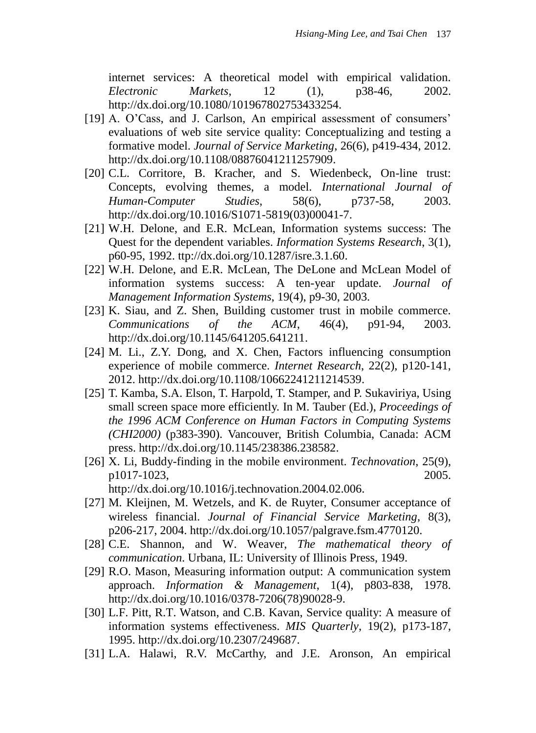internet services: A theoretical model with empirical validation. *Electronic Markets*, 12 (1), p38-46, 2002. [http://dx.doi.org/10.1080/101967802753433254.](http://dx.doi.org/10.1080/101967802753433254)

- [19] A. O'Cass, and J. Carlson, An empirical assessment of consumers' evaluations of web site service quality: Conceptualizing and testing a formative model. *Journal of Service Marketing*, 26(6), p419-434, 2012. [http://dx.doi.org/10.1108/08876041211257909.](http://dx.doi.org/10.1108/08876041211257909)
- [20] C.L. Corritore, B. Kracher, and S. Wiedenbeck, On-line trust: Concepts, evolving themes, a model. *International Journal of Human-Computer Studies*, 58(6), p737-58, 2003. [http://dx.doi.org/10.1016/S1071-5819\(03\)00041-7.](http://dx.doi.org/10.1016/S1071-5819(03)00041-7)
- [21] W.H. Delone, and E.R. McLean, Information systems success: The Quest for the dependent variables. *Information Systems Research*, 3(1), p60-95, 1992. [ttp://dx.doi.org/10.1287/isre.3.1.60.](http://dx.doi.org/10.1287/isre.3.1.60)
- [22] W.H. Delone, and E.R. McLean, The DeLone and McLean Model of information systems success: A ten-year update. *Journal of Management Information Systems*, 19(4), p9-30, 2003.
- [23] K. Siau, and Z. Shen, Building customer trust in mobile commerce. *Communications of the ACM*, 46(4), p91-94, 2003. [http://dx.doi.org/10.1145/641205.641211.](http://dx.doi.org/10.1145/641205.641211)
- [24] M. Li., Z.Y. Dong, and X. Chen, Factors influencing consumption experience of mobile commerce. *Internet Research*, 22(2), p120-141, 2012. [http://dx.doi.org/10.1108/10662241211214539.](http://dx.doi.org/10.1108/10662241211214539)
- [25] T. Kamba, S.A. Elson, T. Harpold, T. Stamper, and P. Sukaviriya, Using small screen space more efficiently. In M. Tauber (Ed.), *Proceedings of the 1996 ACM Conference on Human Factors in Computing Systems (CHI2000)* (p383-390). Vancouver, British Columbia, Canada: ACM press. [http://dx.doi.org/10.1145/238386.238582.](http://dx.doi.org/10.1145/238386.238582)
- [26] X. Li, Buddy-finding in the mobile environment. *Technovation*, 25(9), p1017-1023, 2005.

[http://dx.doi.org/10.1016/j.technovation.2004.02.006.](http://dx.doi.org/10.1016/j.technovation.2004.02.006)

- [27] M. Kleijnen, M. Wetzels, and K. de Ruyter, Consumer acceptance of wireless financial. *Journal of Financial Service Marketing*, 8(3), p206-217, 2004. [http://dx.doi.org/10.1057/palgrave.fsm.4770120.](http://dx.doi.org/10.1057/palgrave.fsm.4770120)
- [28] C.E. Shannon, and W. Weaver, *The mathematical theory of communication*. Urbana, IL: University of Illinois Press, 1949.
- [29] R.O. Mason, Measuring information output: A communication system approach. *Information & Management*, 1(4), p803-838, 1978. [http://dx.doi.org/10.1016/0378-7206\(78\)90028-9.](http://dx.doi.org/10.1016/0378-7206(78)90028-9)
- [30] L.F. Pitt, R.T. Watson, and C.B. Kavan, Service quality: A measure of information systems effectiveness. *MIS Quarterly*, 19(2), p173-187, 1995. [http://dx.doi.org/10.2307/249687.](http://dx.doi.org/10.2307/249687)
- [31] L.A. Halawi, R.V. McCarthy, and J.E. Aronson, An empirical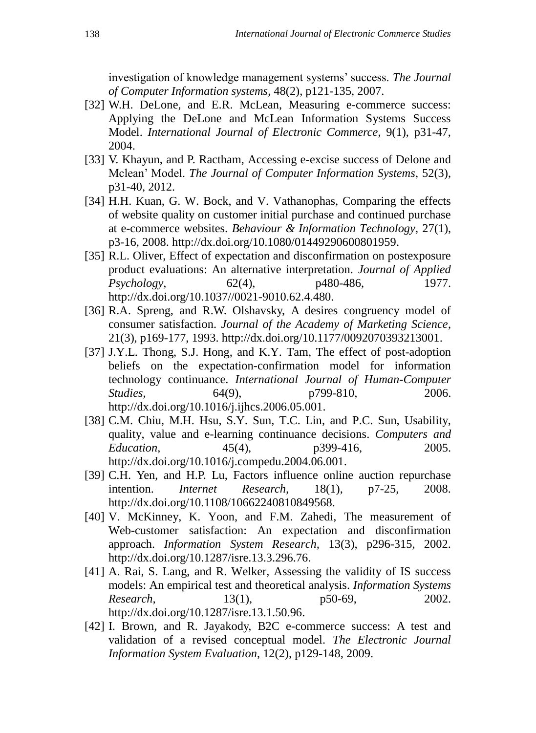investigation of knowledge management systems' success. *The Journal of Computer Information systems*, 48(2), p121-135, 2007.

- [32] W.H. DeLone, and E.R. McLean, Measuring e-commerce success: Applying the DeLone and McLean Information Systems Success Model. *International Journal of Electronic Commerce*, 9(1), p31-47, 2004.
- [33] V. Khayun, and P. Ractham, Accessing e-excise success of Delone and Mclean' Model. *[The Journal of Computer Information Systems](http://search.proquest.com.autorpa.lib.nccu.edu.tw/abicomplete/pubidlinkhandler/sng/pubtitle/The+Journal+of+Computer+Information+Systems/$N/48936/DocView/1017541469/fulltext/1431EBC137C3576321F/2?accountid=10067)*, 52(3), p31-40, 2012.
- [34] H.H. Kuan, G. W. Bock, and V. Vathanophas, Comparing the effects of website quality on customer initial purchase and continued purchase at e-commerce websites. *Behaviour & Information Technology*, 27(1), p3-16, 2008. [http://dx.doi.org/10.1080/01449290600801959.](http://dx.doi.org/10.1080/01449290600801959)
- [35] R.L. Oliver, Effect of expectation and disconfirmation on postexposure product evaluations: An alternative interpretation. *Journal of Applied Psychology*, 62(4), p480-486, 1977. [http://dx.doi.org/10.1037//0021-9010.62.4.480.](http://dx.doi.org/10.1037/0021-9010.62.4.480)
- [36] R.A. Spreng, and R.W. Olshavsky, A desires congruency model of consumer satisfaction. *Journal of the Academy of Marketing Science*, 21(3), p169-177, 1993. [http://dx.doi.org/10.1177/0092070393213001.](http://dx.doi.org/10.1177/0092070393213001)
- [37] J.Y.L. Thong, S.J. Hong, and K.Y. Tam, The effect of post-adoption beliefs on the expectation-confirmation model for information technology continuance. *International Journal of Human-Computer Studies*, 64(9), p799-810, 2006. [http://dx.doi.org/10.1016/j.ijhcs.2006.05.001.](http://dx.doi.org/10.1016/j.ijhcs.2006.05.001)
- [38] C.M. Chiu, M.H. Hsu, S.Y. Sun, T.C. Lin, and P.C. Sun, Usability, quality, value and e-learning continuance decisions. *Computers and Education,* 45(4), p399-416, 2005. [http://dx.doi.org/10.1016/j.compedu.2004.06.001.](http://dx.doi.org/10.1016/j.compedu.2004.06.001)
- [39] C.H. Yen, and H.P. Lu, Factors influence online auction repurchase intention. *Internet Research,* 18(1), p7-25, 2008. [http://dx.doi.org/10.1108/10662240810849568.](http://dx.doi.org/10.1108/10662240810849568)
- [40] V. McKinney, K. Yoon, and F.M. Zahedi, The measurement of Web-customer satisfaction: An expectation and disconfirmation approach. *Information System Research,* 13(3), p296-315, 2002. [http://dx.doi.org/10.1287/isre.13.3.296.76.](http://dx.doi.org/10.1287/isre.13.3.296.76)
- [41] A. Rai, S. Lang, and R. Welker, Assessing the validity of IS success models: An empirical test and theoretical analysis. *Information Systems Research*, 13(1), p50-69, 2002. [http://dx.doi.org/10.1287/isre.13.1.50.96.](http://dx.doi.org/10.1287/isre.13.1.50.96)
- [42] I. Brown, and R. Jayakody, B2C e-commerce success: A test and validation of a revised conceptual model. *The Electronic Journal Information System Evaluation*, 12(2), p129-148, 2009.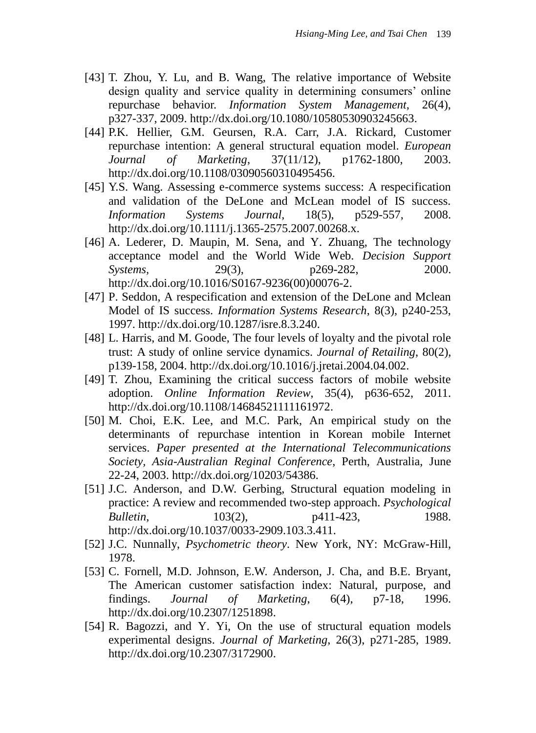- [43] T. Zhou, Y. Lu, and B. Wang, The relative importance of Website design quality and service quality in determining consumers' online repurchase behavior. *Information System Management,* 26(4), p327-337, 2009. [http://dx.doi.org/10.1080/10580530903245663.](http://dx.doi.org/10.1080/10580530903245663)
- [44] P.K. Hellier, G.M. Geursen, R.A. Carr, J.A. Rickard, Customer repurchase intention: A general structural equation model. *European Journal of Marketing*, 37(11/12), p1762-1800, 2003. [http://dx.doi.org/10.1108/03090560310495456.](http://dx.doi.org/10.1108/03090560310495456)
- [45] Y.S. Wang. Assessing e-commerce systems success: A respecification and validation of the DeLone and McLean model of IS success. *Information Systems Journal,* 18(5), p529-557, 2008. [http://dx.doi.org/10.1111/j.1365-2575.2007.00268.x.](http://dx.doi.org/10.1111/j.1365-2575.2007.00268.x)
- [46] A. Lederer, D. Maupin, M. Sena, and Y. Zhuang, The technology acceptance model and the World Wide Web. *Decision Support Systems,* 29(3), p269-282, 2000. [http://dx.doi.org/10.1016/S0167-9236\(00\)00076-2.](http://dx.doi.org/10.1016/S0167-9236(00)00076-2)
- [47] P. Seddon, A respecification and extension of the DeLone and Mclean Model of IS success. *Information Systems Research*, 8(3), p240-253, 1997. [http://dx.doi.org/10.1287/isre.8.3.240.](http://dx.doi.org/10.1287/isre.8.3.240)
- [48] L. Harris, and M. Goode, The four levels of loyalty and the pivotal role trust: A study of online service dynamics. *Journal of Retailing*, 80(2), p139-158, 2004. [http://dx.doi.org/10.1016/j.jretai.2004.04.002.](http://dx.doi.org/10.1016/j.jretai.2004.04.002)
- [49] T. Zhou, Examining the critical success factors of mobile website adoption. *Online Information Review*, 35(4), p636-652, 2011. [http://dx.doi.org/10.1108/14684521111161972.](http://dx.doi.org/10.1108/14684521111161972)
- [50] M. Choi, E.K. Lee, and M.C. Park, An empirical study on the determinants of repurchase intention in Korean mobile Internet services. *Paper presented at the International Telecommunications Society, Asia-Australian Reginal Conference*, Perth, Australia, June 22-24, 2003. [http://dx.doi.org/10203/54386.](http://dx.doi.org/10203/54386)
- [51] J.C. Anderson, and D.W. Gerbing, Structural equation modeling in practice: A review and recommended two-step approach. *Psychological Bulletin*, 103(2), p411-423, 1988. [http://dx.doi.org/10.1037/0033-2909.103.3.411.](http://dx.doi.org/10.1037/0033-2909.103.3.411)
- [52] J.C. Nunnally, *Psychometric theory*. New York, NY: McGraw-Hill, 1978.
- [53] C. Fornell, M.D. Johnson, E.W. Anderson, J. Cha, and B.E. Bryant, The American customer satisfaction index: Natural, purpose, and findings. *Journal of Marketing*, 6(4), p7-18, 1996. [http://dx.doi.org/10.2307/1251898.](http://dx.doi.org/10.2307/1251898)
- [54] R. Bagozzi, and Y. Yi, On the use of structural equation models experimental designs. *Journal of Marketing*, 26(3), p271-285, 1989. [http://dx.doi.org/10.2307/3172900.](http://dx.doi.org/10.2307/3172900)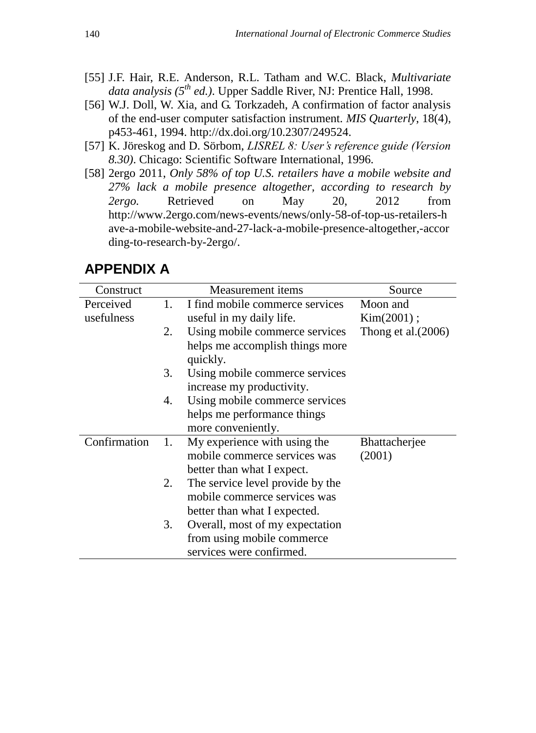- [55] J.F. Hair, R.E. Anderson, R.L. Tatham and W.C. Black, *Multivariate data analysis (5 th ed.)*. Upper Saddle River, NJ: Prentice Hall, 1998.
- [56] W.J. Doll, W. Xia, and G. Torkzadeh, A confirmation of factor analysis of the end-user computer satisfaction instrument. *MIS Quarterly*, 18(4), p453-461, 1994. [http://dx.doi.org/10.2307/249524.](http://dx.doi.org/10.2307/249524)
- [57] K. Jöreskog and D. Sörbom, *LISREL 8: User's reference guide (Version 8.30)*. Chicago: Scientific Software International, 1996.
- [58] 2ergo 2011, *Only 58% of top U.S. retailers have a mobile website and 27% lack a mobile presence altogether, according to research by 2ergo.* Retrieved on May 20, 2012 from [http://www.2ergo.com/news-events/news/only-58-of-top-us-retailers-h](http://www.2ergo.com/news-events/news/only-58-of-top-us-retailers-have-a-mobile-website-and-27-lack-a-mobile-presence-altogether,-according-to-research-by-2ergo/) [ave-a-mobile-website-and-27-lack-a-mobile-presence-altogether,-accor](http://www.2ergo.com/news-events/news/only-58-of-top-us-retailers-have-a-mobile-website-and-27-lack-a-mobile-presence-altogether,-according-to-research-by-2ergo/) [ding-to-research-by-2ergo/.](http://www.2ergo.com/news-events/news/only-58-of-top-us-retailers-have-a-mobile-website-and-27-lack-a-mobile-presence-altogether,-according-to-research-by-2ergo/)

## **APPENDIX A**

| Construct    |    | Measurement items                | Source                |
|--------------|----|----------------------------------|-----------------------|
| Perceived    | 1. | I find mobile commerce services  | Moon and              |
| usefulness   |    | useful in my daily life.         | $Kim(2001)$ ;         |
|              | 2. | Using mobile commerce services   | Thong et al. $(2006)$ |
|              |    | helps me accomplish things more  |                       |
|              |    | quickly.                         |                       |
|              | 3. | Using mobile commerce services   |                       |
|              |    | increase my productivity.        |                       |
|              | 4. | Using mobile commerce services   |                       |
|              |    | helps me performance things      |                       |
|              |    | more conveniently.               |                       |
| Confirmation | 1. | My experience with using the     | Bhattacherjee         |
|              |    | mobile commerce services was     | (2001)                |
|              |    | better than what I expect.       |                       |
|              | 2. | The service level provide by the |                       |
|              |    | mobile commerce services was     |                       |
|              |    | better than what I expected.     |                       |
|              | 3. | Overall, most of my expectation  |                       |
|              |    | from using mobile commerce       |                       |
|              |    | services were confirmed.         |                       |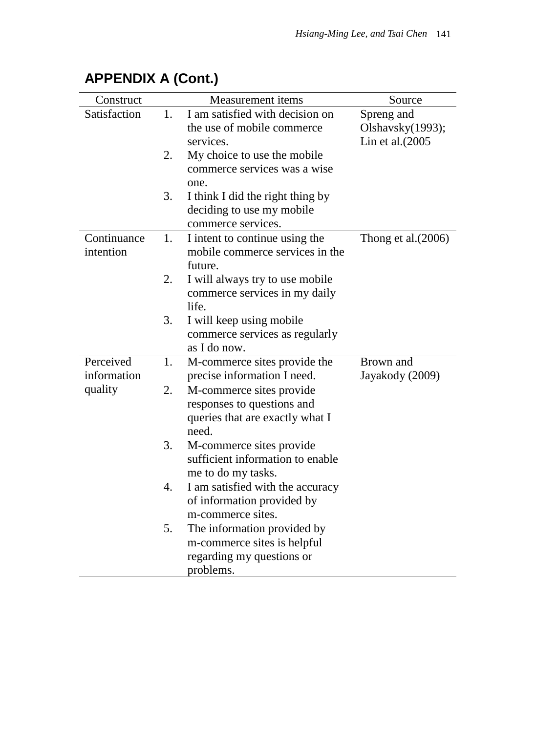| Construct                                                       |                                                            | Measurement items                                                                                                                                                                                                                                                                                                                                                                                                                                                                                                                                                                                                                                                                                                       | Source                                                |
|-----------------------------------------------------------------|------------------------------------------------------------|-------------------------------------------------------------------------------------------------------------------------------------------------------------------------------------------------------------------------------------------------------------------------------------------------------------------------------------------------------------------------------------------------------------------------------------------------------------------------------------------------------------------------------------------------------------------------------------------------------------------------------------------------------------------------------------------------------------------------|-------------------------------------------------------|
| Satisfaction                                                    | 1.                                                         | I am satisfied with decision on                                                                                                                                                                                                                                                                                                                                                                                                                                                                                                                                                                                                                                                                                         | Spreng and                                            |
|                                                                 |                                                            | the use of mobile commerce                                                                                                                                                                                                                                                                                                                                                                                                                                                                                                                                                                                                                                                                                              | Olshavsky(1993);                                      |
|                                                                 |                                                            | services.                                                                                                                                                                                                                                                                                                                                                                                                                                                                                                                                                                                                                                                                                                               | Lin et al. $(2005$                                    |
|                                                                 | 2.                                                         | My choice to use the mobile                                                                                                                                                                                                                                                                                                                                                                                                                                                                                                                                                                                                                                                                                             |                                                       |
|                                                                 |                                                            | commerce services was a wise                                                                                                                                                                                                                                                                                                                                                                                                                                                                                                                                                                                                                                                                                            |                                                       |
|                                                                 |                                                            | one.                                                                                                                                                                                                                                                                                                                                                                                                                                                                                                                                                                                                                                                                                                                    |                                                       |
|                                                                 | 3.                                                         | I think I did the right thing by                                                                                                                                                                                                                                                                                                                                                                                                                                                                                                                                                                                                                                                                                        |                                                       |
|                                                                 |                                                            | deciding to use my mobile                                                                                                                                                                                                                                                                                                                                                                                                                                                                                                                                                                                                                                                                                               |                                                       |
|                                                                 |                                                            |                                                                                                                                                                                                                                                                                                                                                                                                                                                                                                                                                                                                                                                                                                                         |                                                       |
|                                                                 |                                                            |                                                                                                                                                                                                                                                                                                                                                                                                                                                                                                                                                                                                                                                                                                                         |                                                       |
|                                                                 |                                                            |                                                                                                                                                                                                                                                                                                                                                                                                                                                                                                                                                                                                                                                                                                                         |                                                       |
|                                                                 |                                                            |                                                                                                                                                                                                                                                                                                                                                                                                                                                                                                                                                                                                                                                                                                                         |                                                       |
|                                                                 |                                                            |                                                                                                                                                                                                                                                                                                                                                                                                                                                                                                                                                                                                                                                                                                                         |                                                       |
|                                                                 |                                                            |                                                                                                                                                                                                                                                                                                                                                                                                                                                                                                                                                                                                                                                                                                                         |                                                       |
|                                                                 |                                                            |                                                                                                                                                                                                                                                                                                                                                                                                                                                                                                                                                                                                                                                                                                                         |                                                       |
|                                                                 |                                                            |                                                                                                                                                                                                                                                                                                                                                                                                                                                                                                                                                                                                                                                                                                                         |                                                       |
|                                                                 |                                                            |                                                                                                                                                                                                                                                                                                                                                                                                                                                                                                                                                                                                                                                                                                                         |                                                       |
|                                                                 |                                                            |                                                                                                                                                                                                                                                                                                                                                                                                                                                                                                                                                                                                                                                                                                                         |                                                       |
|                                                                 |                                                            |                                                                                                                                                                                                                                                                                                                                                                                                                                                                                                                                                                                                                                                                                                                         |                                                       |
|                                                                 |                                                            |                                                                                                                                                                                                                                                                                                                                                                                                                                                                                                                                                                                                                                                                                                                         |                                                       |
|                                                                 |                                                            |                                                                                                                                                                                                                                                                                                                                                                                                                                                                                                                                                                                                                                                                                                                         |                                                       |
|                                                                 |                                                            |                                                                                                                                                                                                                                                                                                                                                                                                                                                                                                                                                                                                                                                                                                                         |                                                       |
|                                                                 |                                                            |                                                                                                                                                                                                                                                                                                                                                                                                                                                                                                                                                                                                                                                                                                                         |                                                       |
|                                                                 |                                                            |                                                                                                                                                                                                                                                                                                                                                                                                                                                                                                                                                                                                                                                                                                                         |                                                       |
|                                                                 |                                                            |                                                                                                                                                                                                                                                                                                                                                                                                                                                                                                                                                                                                                                                                                                                         |                                                       |
|                                                                 |                                                            |                                                                                                                                                                                                                                                                                                                                                                                                                                                                                                                                                                                                                                                                                                                         |                                                       |
|                                                                 |                                                            |                                                                                                                                                                                                                                                                                                                                                                                                                                                                                                                                                                                                                                                                                                                         |                                                       |
|                                                                 |                                                            |                                                                                                                                                                                                                                                                                                                                                                                                                                                                                                                                                                                                                                                                                                                         |                                                       |
|                                                                 |                                                            |                                                                                                                                                                                                                                                                                                                                                                                                                                                                                                                                                                                                                                                                                                                         |                                                       |
|                                                                 |                                                            |                                                                                                                                                                                                                                                                                                                                                                                                                                                                                                                                                                                                                                                                                                                         |                                                       |
|                                                                 |                                                            |                                                                                                                                                                                                                                                                                                                                                                                                                                                                                                                                                                                                                                                                                                                         |                                                       |
|                                                                 |                                                            |                                                                                                                                                                                                                                                                                                                                                                                                                                                                                                                                                                                                                                                                                                                         |                                                       |
|                                                                 |                                                            |                                                                                                                                                                                                                                                                                                                                                                                                                                                                                                                                                                                                                                                                                                                         |                                                       |
| Continuance<br>intention<br>Perceived<br>information<br>quality | 1.<br>2.<br>3.<br>1.<br>2.<br>3.<br>$\overline{4}$ .<br>5. | commerce services.<br>I intent to continue using the<br>mobile commerce services in the<br>future.<br>I will always try to use mobile<br>commerce services in my daily<br>life.<br>I will keep using mobile<br>commerce services as regularly<br>as I do now.<br>M-commerce sites provide the<br>precise information I need.<br>M-commerce sites provide<br>responses to questions and<br>queries that are exactly what I<br>need.<br>M-commerce sites provide<br>sufficient information to enable<br>me to do my tasks.<br>I am satisfied with the accuracy<br>of information provided by<br>m-commerce sites.<br>The information provided by<br>m-commerce sites is helpful<br>regarding my questions or<br>problems. | Thong et al. $(2006)$<br>Brown and<br>Jayakody (2009) |

# **APPENDIX A (Cont.)**